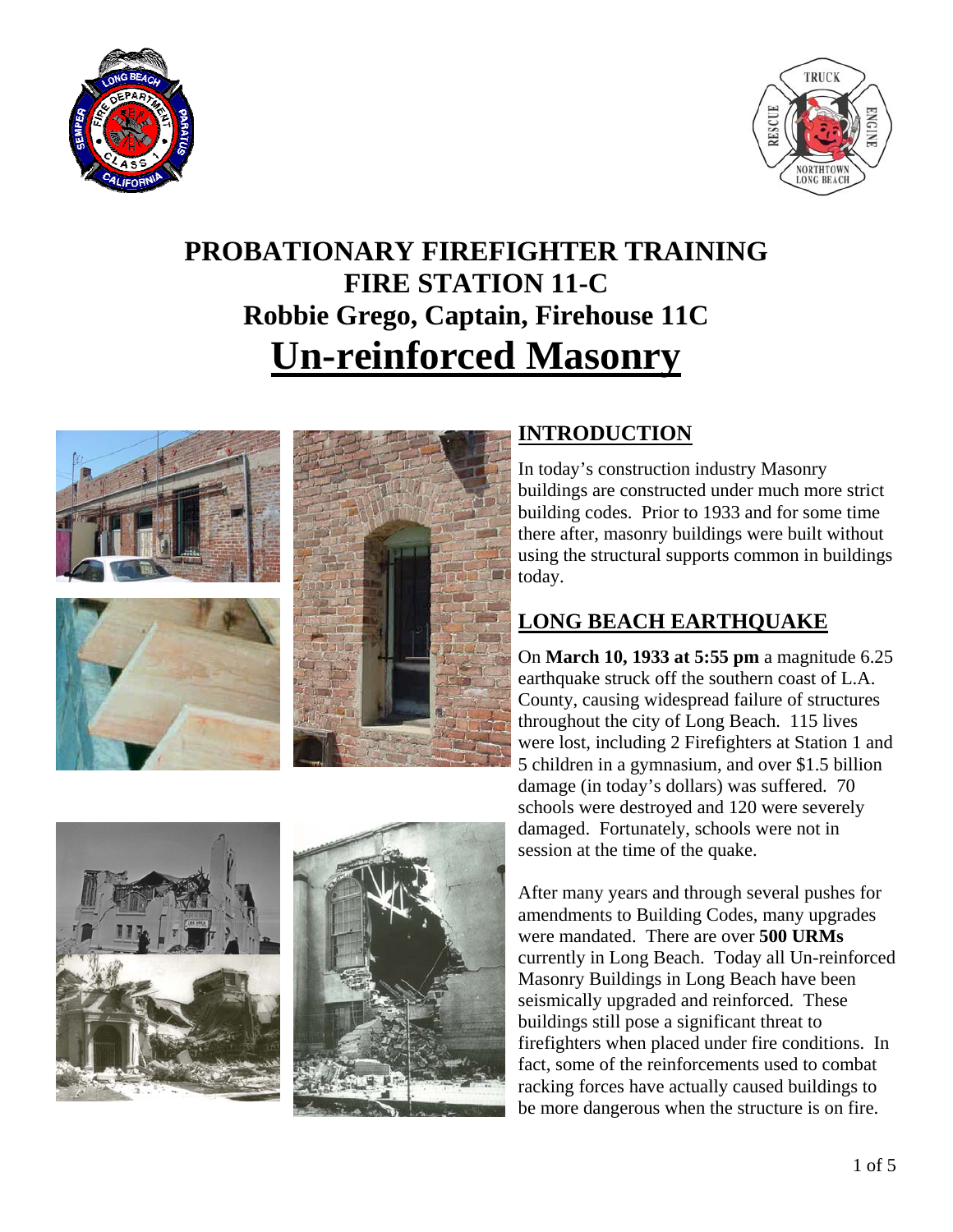



# **PROBATIONARY FIREFIGHTER TRAINING FIRE STATION 11-C Robbie Grego, Captain, Firehouse 11C Un-reinforced Masonry**







### **INTRODUCTION**

In today's construction industry Masonry buildings are constructed under much more strict building codes. Prior to 1933 and for some time there after, masonry buildings were built without using the structural supports common in buildings today.

# **LONG BEACH EARTHQUAKE**

On **March 10, 1933 at 5:55 pm** a magnitude 6.25 earthquake struck off the southern coast of L.A. County, causing widespread failure of structures throughout the city of Long Beach. 115 lives were lost, including 2 Firefighters at Station 1 and 5 children in a gymnasium, and over \$1.5 billion damage (in today's dollars) was suffered. 70 schools were destroyed and 120 were severely damaged. Fortunately, schools were not in session at the time of the quake.

After many years and through several pushes for amendments to Building Codes, many upgrades were mandated. There are over **500 URMs** currently in Long Beach. Today all Un-reinforced Masonry Buildings in Long Beach have been seismically upgraded and reinforced. These buildings still pose a significant threat to firefighters when placed under fire conditions. In fact, some of the reinforcements used to combat racking forces have actually caused buildings to be more dangerous when the structure is on fire.



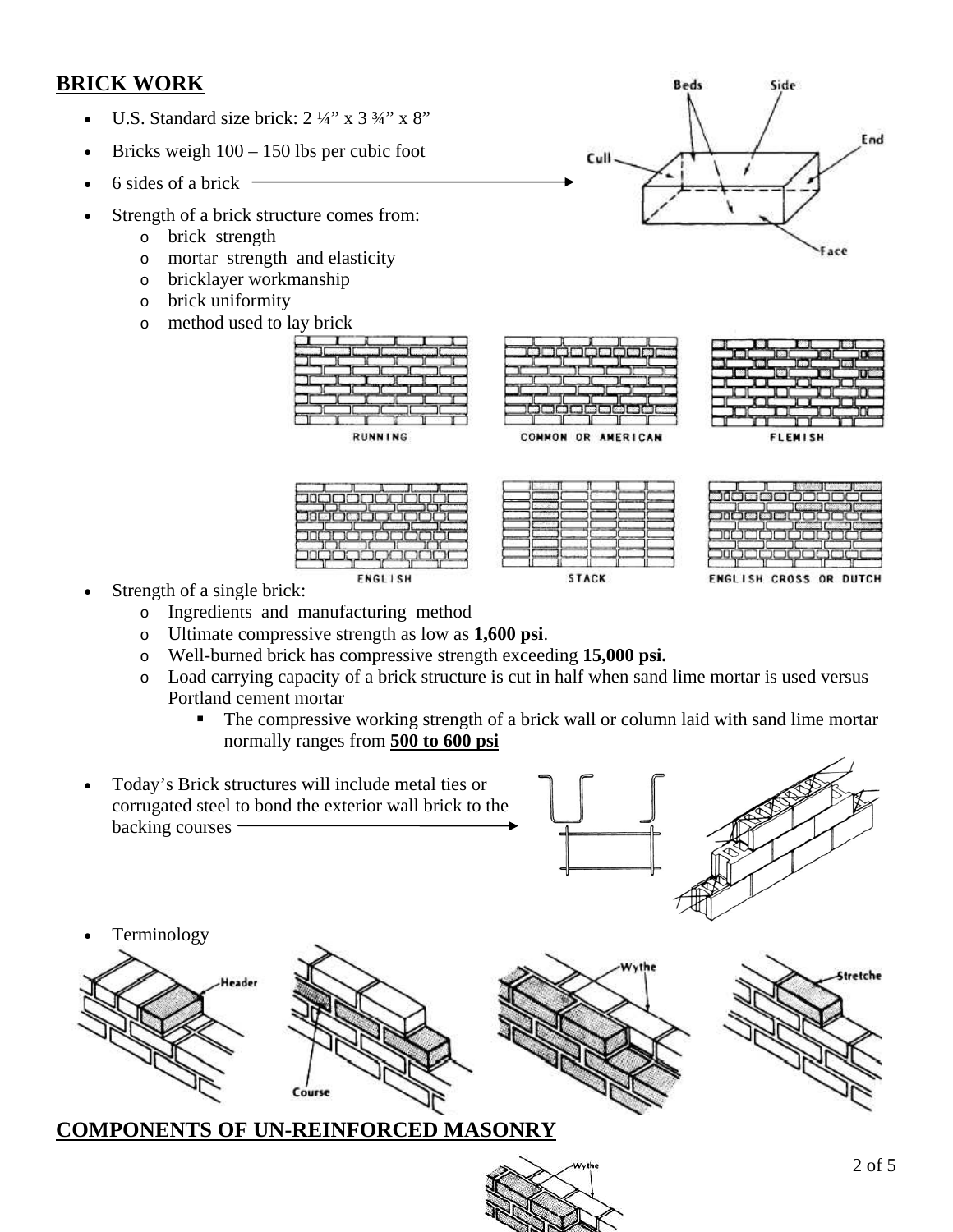### **BRICK WORK**

- U.S. Standard size brick:  $2\frac{1}{4}$  x 3  $\frac{3}{4}$  x 8"
- Bricks weigh  $100 150$  lbs per cubic foot
- 6 sides of a brick  $-$
- Strength of a brick structure comes from:
	- o brick strength
	- o mortar strength and elasticity
	- o bricklayer workmanship
	- o brick uniformity
	- o method used to lay brick

| <b>RUNNING</b> |  |  |
|----------------|--|--|







**FLEMISH** 

**STACK** 

ENGLISH CROSS OR DUTCH

- Strength of a single brick:
	- o Ingredients and manufacturing method
	- o Ultimate compressive strength as low as **1,600 psi**.
	- o Well-burned brick has compressive strength exceeding **15,000 psi.**

**ENGLISH** 

- o Load carrying capacity of a brick structure is cut in half when sand lime mortar is used versus Portland cement mortar
	- The compressive working strength of a brick wall or column laid with sand lime mortar normally ranges from **500 to 600 psi**



#### **COMPONENTS OF UN-REINFORCED MASONRY**

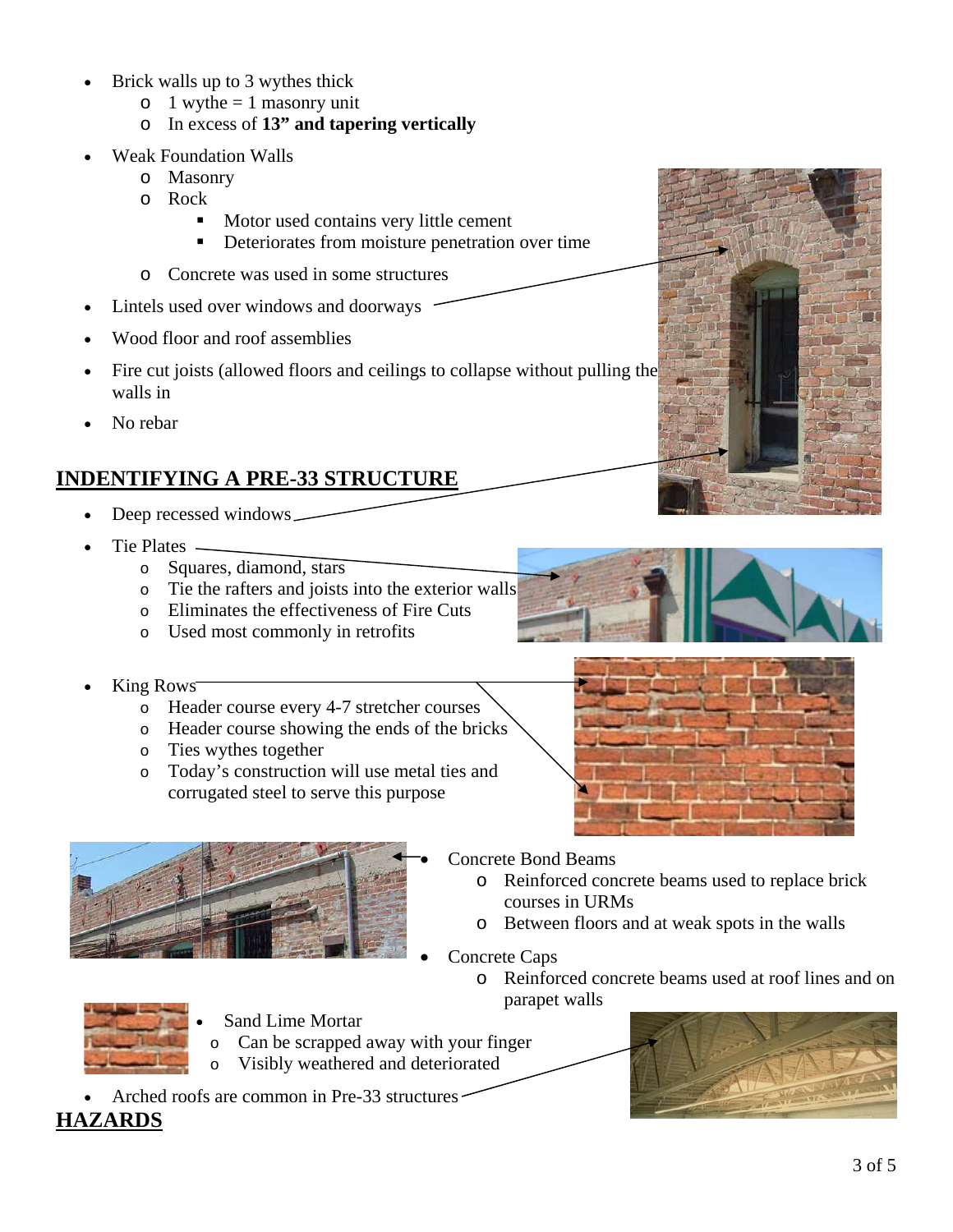- Brick walls up to 3 wythes thick
	- $\circ$  1 wythe = 1 masonry unit
	- o In excess of **13" and tapering vertically**
- Weak Foundation Walls
	- o Masonry
	- o Rock
		- Motor used contains very little cement
		- Deteriorates from moisture penetration over time
	- o Concrete was used in some structures
- Lintels used over windows and doorways
- Wood floor and roof assemblies
- Fire cut joists (allowed floors and ceilings to collapse without pulling the walls in
- No rebar

# **INDENTIFYING A PRE-33 STRUCTURE**

- Deep recessed windows
- Tie Plates
	- o Squares, diamond, stars
	- o Tie the rafters and joists into the exterior walls
	- o Eliminates the effectiveness of Fire Cuts
	- o Used most commonly in retrofits
- King Rows<sup>-</sup>
	- o Header course every 4-7 stretcher courses
	- o Header course showing the ends of the bricks
	- o Ties wythes together
	- o Today's construction will use metal ties and corrugated steel to serve this purpose







- Concrete Bond Beams
	- o Reinforced concrete beams used to replace brick courses in URMs
	- o Between floors and at weak spots in the walls
- Concrete Caps
	- o Reinforced concrete beams used at roof lines and on parapet walls



**HAZARDS**

- Sand Lime Mortar
- o Can be scrapped away with your finger
- Visibly weathered and deteriorated o
- Arched roofs are common in Pre-33 structures

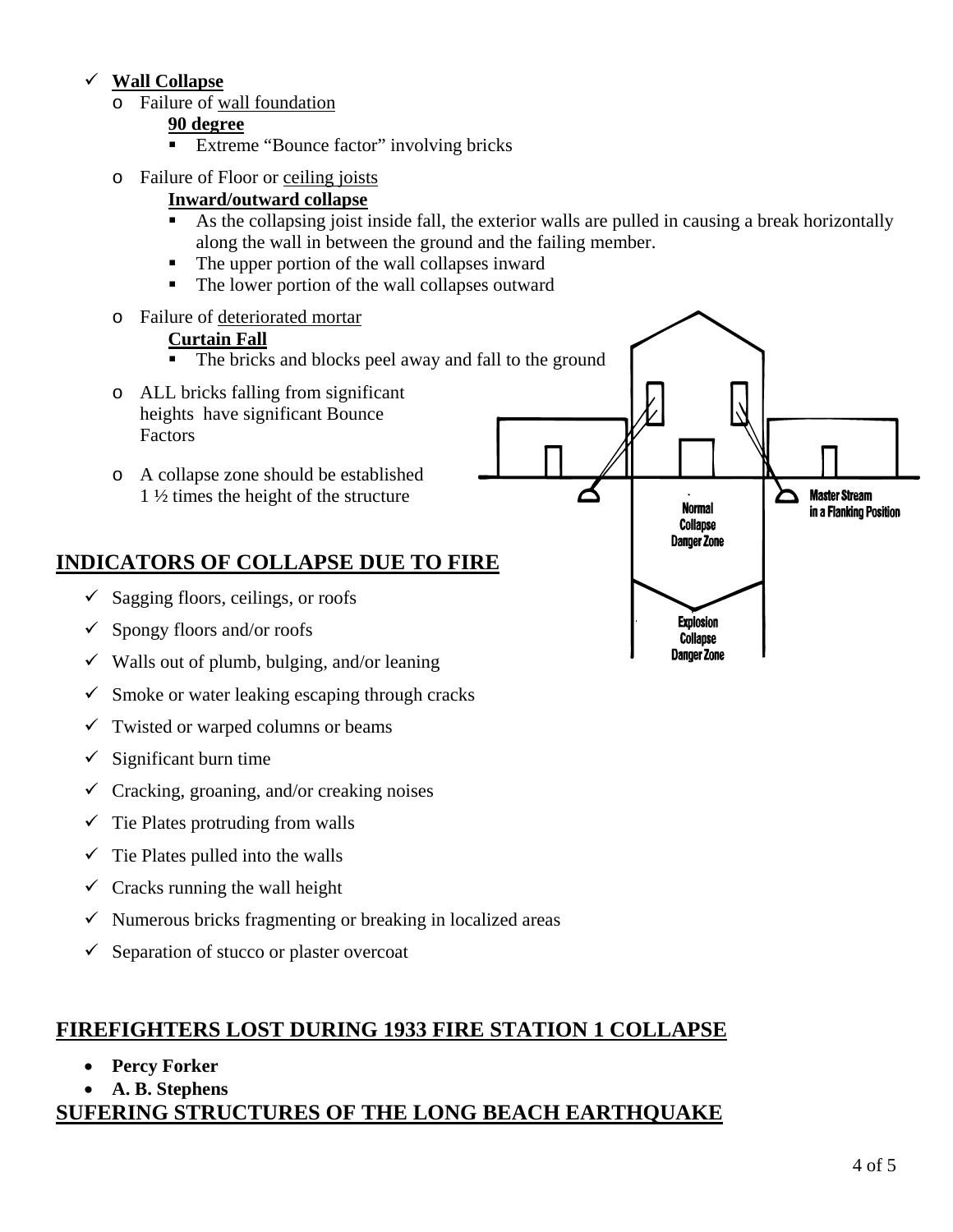#### 9 **Wall Collapse**

o Failure of wall foundation

#### **90 degree**

- Extreme "Bounce factor" involving bricks
- o Failure of Floor or ceiling joists

#### **Inward/outward collapse**

- As the collapsing joist inside fall, the exterior walls are pulled in causing a break horizontally along the wall in between the ground and the failing member.
- The upper portion of the wall collapses inward
- The lower portion of the wall collapses outward
- o Failure of deteriorated mortar

#### **Curtain Fall**

- The bricks and blocks peel away and fall to the ground
- o ALL bricks falling from significant heights have significant Bounce Factors
- o A collapse zone should be established 1 ½ times the height of the structure

## **INDICATORS OF COLLAPSE DUE TO FIRE**

- $\checkmark$  Sagging floors, ceilings, or roofs
- $\checkmark$  Spongy floors and/or roofs
- $\checkmark$  Walls out of plumb, bulging, and/or leaning
- $\checkmark$  Smoke or water leaking escaping through cracks
- $\checkmark$  Twisted or warped columns or beams
- $\checkmark$  Significant burn time
- $\checkmark$  Cracking, groaning, and/or creaking noises
- $\checkmark$  Tie Plates protruding from walls
- $\checkmark$  Tie Plates pulled into the walls
- $\checkmark$  Cracks running the wall height
- $\checkmark$  Numerous bricks fragmenting or breaking in localized areas
- $\checkmark$  Separation of stucco or plaster overcoat

### **FIREFIGHTERS LOST DURING 1933 FIRE STATION 1 COLLAPSE**

- **Percy Forker**
- **A. B. Stephens**

### **SUFERING STRUCTURES OF THE LONG BEACH EARTHQUAKE**



**Master Stream** 

in a Flanking Position

**Normal** 

**Collapse Danger Zone** 

**Explosion Collapse Danger Zone**